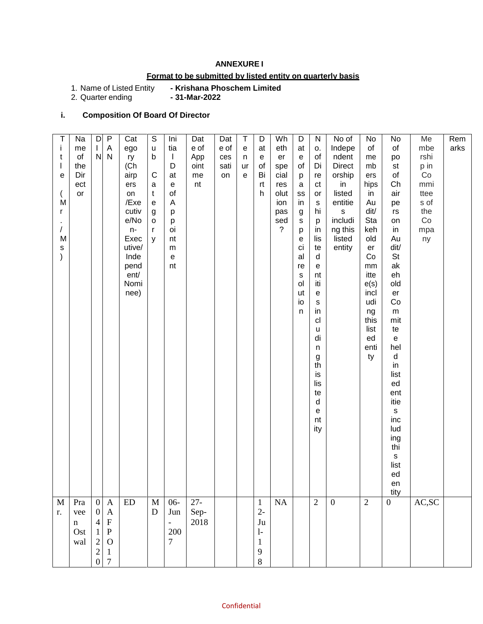## **ANNEXURE I**

## **Format to be submitted by listed entity on quarterly basis**

**- Krishana Phoschem Limited <br>- 31-Mar-2022** 

1. Name of Listed Entity<br>2. Quarter ending

## **i. Composition Of Board Of Director**

| Т             | Na          | D                | $\mathsf{P}$   | Cat           | $\mathbb S$           | Ini                                        | Dat    | Dat  | T         | D            | Wh          | D         | ${\sf N}$         | No of            | No             | No                                         | Me          | Rem  |
|---------------|-------------|------------------|----------------|---------------|-----------------------|--------------------------------------------|--------|------|-----------|--------------|-------------|-----------|-------------------|------------------|----------------|--------------------------------------------|-------------|------|
| j.            | me          | L                | A              | ego           | $\sf u$               | tia                                        | e of   | e of | ${\bf e}$ | at           | eth         | at        | о.                | Indepe           | of             | of                                         | mbe         | arks |
| t             | of          | N                | N              | ry            | b                     | $\mathbf{I}$                               | App    | ces  | n         | e            | er          | ${\bf e}$ | of                | ndent            | me             | po                                         | rshi        |      |
| $\mathsf{I}$  | the         |                  |                | (Ch           |                       | D                                          | oint   | sati | ur        | of           | spe         | of        | Di                | <b>Direct</b>    | mb             | st                                         | p in        |      |
| е             | Dir         |                  |                | airp          | $\mathsf{C}$          | at                                         | me     | on   | e         | Bi           | cial        | p         | re                | orship           | ers            | of                                         | Co          |      |
|               | ect         |                  |                | ers           | a                     | $\mathsf{e}% _{0}\left( \mathsf{e}\right)$ | nt     |      |           | rt           | res         | a         | ct                | in               | hips           | Ch                                         | mmi         |      |
|               | or          |                  |                | on            | $\mathsf{t}$          | of                                         |        |      |           | h            | olut        | SS        | or                | listed           | in             | air                                        | ttee        |      |
| M             |             |                  |                | /Exe          | $\mathbf e$           | A                                          |        |      |           |              | ion         | in        | $\mathbf S$<br>hi | entitie          | Au<br>dit/     | pe                                         | s of<br>the |      |
| r             |             |                  |                | cutiv<br>e/No | $\boldsymbol{g}$<br>o | p<br>p                                     |        |      |           |              | pas<br>sed  | g<br>s    | p                 | s<br>includi     | Sta            | rs<br>on                                   | Co          |      |
| /             |             |                  |                | $n-$          | $\mathsf{r}$          | oi                                         |        |      |           |              | $\tilde{?}$ | p         | in                | ng this          | keh            | in                                         | mpa         |      |
| M             |             |                  |                | Exec          | y                     | nt                                         |        |      |           |              |             | е         | lis               | listed           | old            | Au                                         | ny          |      |
| $\mathsf{s}$  |             |                  |                | utive/        |                       | m                                          |        |      |           |              |             | ci        | te                | entity           | er             | dit/                                       |             |      |
| $\mathcal{E}$ |             |                  |                | Inde          |                       | e                                          |        |      |           |              |             | al        | d                 |                  | Co             | <b>St</b>                                  |             |      |
|               |             |                  |                | pend          |                       | nt                                         |        |      |           |              |             | re        | e                 |                  | mm             | ak                                         |             |      |
|               |             |                  |                | ent/          |                       |                                            |        |      |           |              |             | s         | nt                |                  | itte           | eh                                         |             |      |
|               |             |                  |                | Nomi          |                       |                                            |        |      |           |              |             | ol        | iti               |                  | e(s)           | old                                        |             |      |
|               |             |                  |                | nee)          |                       |                                            |        |      |           |              |             | ut        | e                 |                  | incl           | er                                         |             |      |
|               |             |                  |                |               |                       |                                            |        |      |           |              |             | io<br>n   | ${\bf S}$<br>in   |                  | udi<br>ng      | Co<br>m                                    |             |      |
|               |             |                  |                |               |                       |                                            |        |      |           |              |             |           | cl                |                  | this           | mit                                        |             |      |
|               |             |                  |                |               |                       |                                            |        |      |           |              |             |           | u                 |                  | list           | te                                         |             |      |
|               |             |                  |                |               |                       |                                            |        |      |           |              |             |           | di                |                  | ed             | $\mathsf{e}% _{0}\left( \mathsf{e}\right)$ |             |      |
|               |             |                  |                |               |                       |                                            |        |      |           |              |             |           | $\sf n$           |                  | enti           | hel                                        |             |      |
|               |             |                  |                |               |                       |                                            |        |      |           |              |             |           | g                 |                  | ty             | ${\sf d}$                                  |             |      |
|               |             |                  |                |               |                       |                                            |        |      |           |              |             |           | th                |                  |                | in                                         |             |      |
|               |             |                  |                |               |                       |                                            |        |      |           |              |             |           | is                |                  |                | list                                       |             |      |
|               |             |                  |                |               |                       |                                            |        |      |           |              |             |           | lis               |                  |                | ed                                         |             |      |
|               |             |                  |                |               |                       |                                            |        |      |           |              |             |           | te<br>$\sf d$     |                  |                | ent<br>itie                                |             |      |
|               |             |                  |                |               |                       |                                            |        |      |           |              |             |           | e                 |                  |                | $\mathsf{s}$                               |             |      |
|               |             |                  |                |               |                       |                                            |        |      |           |              |             |           | nt                |                  |                | inc                                        |             |      |
|               |             |                  |                |               |                       |                                            |        |      |           |              |             |           | ity               |                  |                | lud                                        |             |      |
|               |             |                  |                |               |                       |                                            |        |      |           |              |             |           |                   |                  |                | ing                                        |             |      |
|               |             |                  |                |               |                       |                                            |        |      |           |              |             |           |                   |                  |                | thi                                        |             |      |
|               |             |                  |                |               |                       |                                            |        |      |           |              |             |           |                   |                  |                | $\mathsf{s}$                               |             |      |
|               |             |                  |                |               |                       |                                            |        |      |           |              |             |           |                   |                  |                | list                                       |             |      |
|               |             |                  |                |               |                       |                                            |        |      |           |              |             |           |                   |                  |                | ed                                         |             |      |
|               |             |                  |                |               |                       |                                            |        |      |           |              |             |           |                   |                  |                | en<br>tity                                 |             |      |
| M             | Pra         | $\mathbf{0}$     | $\mathbf{A}$   | <b>ED</b>     | $\mathbf M$           | $06 -$                                     | $27 -$ |      |           | $\mathbf{1}$ | NA          |           | $\overline{2}$    | $\boldsymbol{0}$ | $\overline{2}$ | $\mathbf{0}$                               | AC, SC      |      |
| r.            | vee         | $\boldsymbol{0}$ | $\mathbf{A}$   |               | D                     | Jun                                        | Sep-   |      |           | $2 -$        |             |           |                   |                  |                |                                            |             |      |
|               | $\mathbf n$ | $\overline{4}$   | $\mathbf F$    |               |                       | $\overline{\phantom{a}}$                   | 2018   |      |           | Ju           |             |           |                   |                  |                |                                            |             |      |
|               | Ost         | 1                | $\, {\bf P}$   |               |                       | 200                                        |        |      |           | $1-$         |             |           |                   |                  |                |                                            |             |      |
|               | wal         | $\overline{2}$   | $\Omega$       |               |                       | $7\overline{ }$                            |        |      |           | $\mathbf{1}$ |             |           |                   |                  |                |                                            |             |      |
|               |             | $\sqrt{2}$       | $\mathbf{1}$   |               |                       |                                            |        |      |           | 9            |             |           |                   |                  |                |                                            |             |      |
|               |             | $\boldsymbol{0}$ | $\overline{7}$ |               |                       |                                            |        |      |           | 8            |             |           |                   |                  |                |                                            |             |      |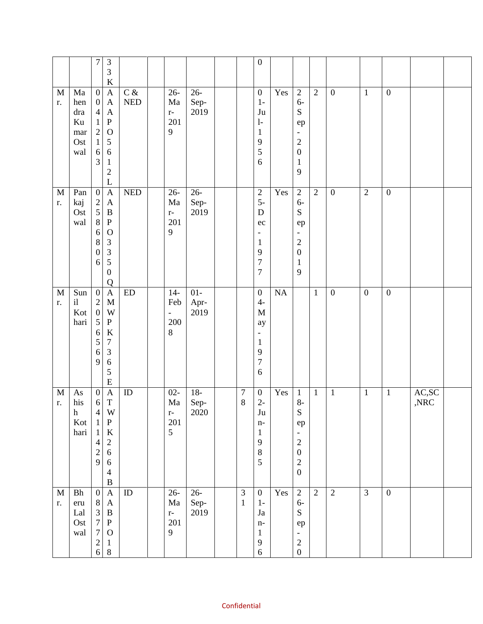|                   |                                                       | $\boldsymbol{7}$                                                                                                        | $\ensuremath{\mathfrak{Z}}$<br>3                                                                                                                           |                          |                                            |                        |                             | $\boldsymbol{0}$                                                                                                      |           |                                                                                                                                         |                |                  |                  |                  |                                               |  |
|-------------------|-------------------------------------------------------|-------------------------------------------------------------------------------------------------------------------------|------------------------------------------------------------------------------------------------------------------------------------------------------------|--------------------------|--------------------------------------------|------------------------|-----------------------------|-----------------------------------------------------------------------------------------------------------------------|-----------|-----------------------------------------------------------------------------------------------------------------------------------------|----------------|------------------|------------------|------------------|-----------------------------------------------|--|
| $\mathbf M$<br>r. | Ma<br>hen<br>dra<br>Ku<br>mar<br>Ost<br>wal           | $\boldsymbol{0}$<br>$\overline{0}$<br>$\overline{4}$<br>$\mathbf{1}$<br>$\sqrt{2}$<br>$\mathbf{1}$<br>6<br>3            | $\rm K$<br>$\mathbf{A}$<br>$\mathbf{A}$<br>$\mathbf{A}$<br>${\bf P}$<br>$\mathbf{O}$<br>5<br>6<br>$\mathbf{1}$<br>$\overline{c}$                           | $C\,\, \&$<br><b>NED</b> | $26 -$<br>Ma<br>$\mathbf{r}$ –<br>201<br>9 | $26 -$<br>Sep-<br>2019 |                             | $\boldsymbol{0}$<br>$1-$<br>Ju<br>$\mathbf{1}$<br>$\mathbf{1}$<br>9<br>5<br>6                                         | Yes       | $\sqrt{2}$<br>$6-$<br>${\bf S}$<br>ep<br>$\overline{\phantom{a}}$<br>$\overline{c}$<br>$\boldsymbol{0}$<br>$\mathbf{1}$<br>9            | $\overline{2}$ | $\boldsymbol{0}$ | $\mathbf{1}$     | $\boldsymbol{0}$ |                                               |  |
| $\mathbf M$<br>r. | Pan<br>kaj<br>Ost<br>wal                              | $\boldsymbol{0}$<br>$\frac{2}{5}$<br>$8\,$<br>6<br>8<br>$\boldsymbol{0}$<br>6                                           | $\mathbf L$<br>$\mathbf{A}$<br>$\boldsymbol{\mathsf{A}}$<br>$\, {\bf B}$<br>${\bf P}$<br>$\mathbf{O}$<br>3<br>3<br>5<br>$\boldsymbol{0}$<br>$\overline{Q}$ | <b>NED</b>               | $26 -$<br>Ma<br>$\mathbf{r}$ –<br>201<br>9 | $26 -$<br>Sep-<br>2019 |                             | $\sqrt{2}$<br>$5-$<br>D<br>$\rm ec$<br>$\overline{\phantom{a}}$<br>$\mathbf{1}$<br>9<br>$\overline{7}$<br>$\tau$      | Yes       | $\overline{2}$<br>$6-$<br>${\bf S}$<br>ep<br>$\overline{\phantom{a}}$<br>$\overline{c}$<br>$\boldsymbol{0}$<br>$\mathbf{1}$<br>9        | $\overline{2}$ | $\boldsymbol{0}$ | $\overline{2}$   | $\overline{0}$   |                                               |  |
| $\mathbf M$<br>r. | Sun<br>$\mathrm{i} \mathbf{l}$<br>Kot<br>hari         | $\boldsymbol{0}$<br>$\sqrt{2}$<br>$\boldsymbol{0}$<br>5<br>6<br>5<br>$\sqrt{6}$<br>9                                    | $\mathbf{A}$<br>$\mathbf M$<br>W<br>${\bf P}$<br>$\rm K$<br>$\overline{7}$<br>3<br>6<br>5<br>$\mathbf E$                                                   | ${\rm ED}$               | $14-$<br>Feb<br>$\blacksquare$<br>200<br>8 | $01-$<br>Apr-<br>2019  |                             | $\boldsymbol{0}$<br>$4-$<br>$\mathbf M$<br>ay<br>$\overline{\phantom{a}}$<br>$\mathbf{1}$<br>9<br>$\overline{7}$<br>6 | <b>NA</b> |                                                                                                                                         | $\mathbf{1}$   | $\boldsymbol{0}$ | $\boldsymbol{0}$ | $\boldsymbol{0}$ |                                               |  |
| $\mathbf M$<br>r. | As<br>his<br>$\boldsymbol{\textbf{h}}$<br>Kot<br>hari | $\boldsymbol{0}$<br>$6 \mid$<br>$\overline{4}$<br>$\mathbf{1}$<br>$\mathbf{1}$<br>$\overline{4}$<br>$\overline{c}$<br>9 | $\mathbf{A}$<br>$\mathbf T$<br>W<br>${\bf P}$<br>${\bf K}$<br>$\boldsymbol{2}$<br>$\sqrt{6}$<br>$\sqrt{6}$<br>$\overline{\mathcal{A}}$<br>$\, {\bf B}$     | ID                       | $02 -$<br>Ma<br>$\mathbf{r}$ –<br>201<br>5 | $18-$<br>Sep-<br>2020  | $\boldsymbol{7}$<br>$\,8\,$ | $\boldsymbol{0}$<br>$2-$<br>$\mathrm{J}\mathrm{u}$<br>$n-$<br>$\mathbf{1}$<br>9<br>$8\,$<br>5                         | Yes       | $\mathbf{1}$<br>$8-$<br>${\bf S}$<br>ep<br>$\qquad \qquad -$<br>$\sqrt{2}$<br>$\boldsymbol{0}$<br>$\begin{array}{c} 2 \\ 0 \end{array}$ | $\mathbf{1}$   | $\mathbf{1}$     | $\mathbf{1}$     | $\mathbf{1}$     | $\mathbf{AC},\!\mathbf{SC}$<br>$,\!{\rm NRC}$ |  |
| $\mathbf M$<br>r. | <b>Bh</b><br>eru<br>Lal<br>Ost<br>wal                 | $\overline{0}$<br>$8\,$<br>$\frac{3}{7}$<br>$\overline{7}$<br>$\begin{array}{c} 2 \\ 6 \end{array}$<br>$\,8\,$          | $\boldsymbol{\mathsf{A}}$<br>$\mathbf{A}$<br>$\, {\bf B}$<br>${\bf P}$<br>$\mathcal{O}$<br>$\mathbf{1}$                                                    | $\rm ID$                 | $26 -$<br>$\rm{Ma}$<br>$r-$<br>201<br>9    | $26 -$<br>Sep-<br>2019 | $\overline{3}$<br>$1\,$     | $\boldsymbol{0}$<br>$1-$<br>Ja<br>$n-$<br>$\mathbf{1}$<br>9<br>$\sqrt{6}$                                             | Yes       | $\overline{2}$<br>$6-$<br>${\bf S}$<br>ep<br>-<br>$\overline{c}$<br>$\boldsymbol{0}$                                                    | $\overline{2}$ | $\overline{2}$   | $\overline{3}$   | $\overline{0}$   |                                               |  |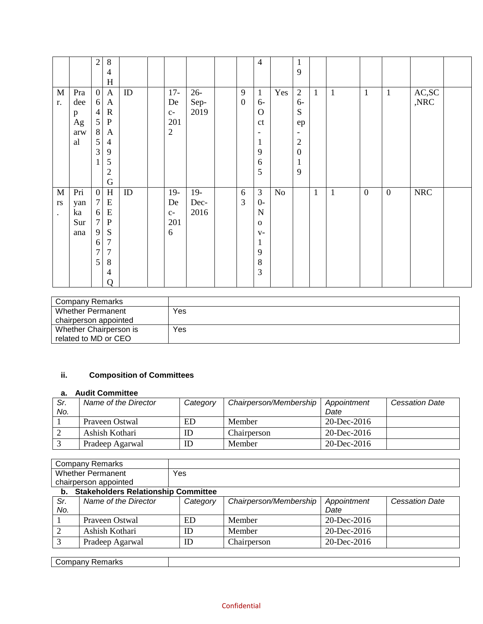|                        |          | $\mathfrak{2}$   | $\,8\,$                   |          |                |        |                  | $\overline{4}$ |          | $\mathbf{1}$     |              |              |              |              |                             |  |
|------------------------|----------|------------------|---------------------------|----------|----------------|--------|------------------|----------------|----------|------------------|--------------|--------------|--------------|--------------|-----------------------------|--|
|                        |          |                  | $\overline{4}$            |          |                |        |                  |                |          | 9                |              |              |              |              |                             |  |
|                        |          |                  | $H_{\rm}$                 |          |                |        |                  |                |          |                  |              |              |              |              |                             |  |
| $\mathbf M$            | Pra      | $\mathbf{0}$     | $\boldsymbol{\mathsf{A}}$ | $\rm ID$ | $17 -$         | $26 -$ | 9                | $\mathbf{1}$   | Yes      | $\overline{2}$   | $\mathbf{1}$ | $\mathbf{1}$ | $\mathbf{1}$ | $\mathbf{1}$ | $\mathbf{AC},\!\mathbf{SC}$ |  |
| r.                     | dee      | 6                | $\mathbf{A}$              |          | De             | Sep-   | $\boldsymbol{0}$ | $6-$           |          | $6-$             |              |              |              |              | ,NRC                        |  |
|                        | p        | $\overline{4}$   | ${\bf R}$                 |          | $C-$           | 2019   |                  | $\mathbf{O}$   |          | ${\bf S}$        |              |              |              |              |                             |  |
|                        | $\rm Ag$ |                  | ${\bf P}$                 |          | 201            |        |                  | ct             |          | ep               |              |              |              |              |                             |  |
|                        | arw      | $\frac{5}{8}$    | $\mathbf{A}$              |          | $\overline{2}$ |        |                  | -              |          |                  |              |              |              |              |                             |  |
|                        | al       | 5                | $\overline{4}$            |          |                |        |                  | $\mathbf{1}$   |          | $\sqrt{2}$       |              |              |              |              |                             |  |
|                        |          | 3                | $\mathbf{9}$              |          |                |        |                  | 9              |          | $\boldsymbol{0}$ |              |              |              |              |                             |  |
|                        |          | $\mathbf 1$      | 5                         |          |                |        |                  | 6              |          | $\mathbf{1}$     |              |              |              |              |                             |  |
|                        |          |                  | $\overline{2}$            |          |                |        |                  | 5              |          | 9                |              |              |              |              |                             |  |
|                        |          |                  | $\mathbf G$               |          |                |        |                  |                |          |                  |              |              |              |              |                             |  |
| $\mathbf M$            | Pri      | $\mathbf{0}$     | $\mathbf H$               | ID       | $19-$          | $19-$  | 6                | $\mathfrak{Z}$ | $\rm No$ |                  | $\mathbf{1}$ | $\mathbf{1}$ | $\mathbf{0}$ | $\mathbf{0}$ | <b>NRC</b>                  |  |
|                        |          | $\tau$           | ${\bf E}$                 |          | De             |        | 3                | $0-$           |          |                  |              |              |              |              |                             |  |
| $\mathbf{r}\mathbf{s}$ | yan      |                  |                           |          |                | Dec-   |                  |                |          |                  |              |              |              |              |                             |  |
| $\ddot{\phantom{a}}$   | ka       | 6                | E                         |          | $C-$           | 2016   |                  | $\mathbf N$    |          |                  |              |              |              |              |                             |  |
|                        | Sur      | $\boldsymbol{7}$ | ${\bf P}$                 |          | 201            |        |                  | $\mathbf 0$    |          |                  |              |              |              |              |                             |  |
|                        | ana      | 9                | ${\bf S}$                 |          | 6              |        |                  | $V -$          |          |                  |              |              |              |              |                             |  |
|                        |          | 6                | $\overline{7}$            |          |                |        |                  | $\mathbf{1}$   |          |                  |              |              |              |              |                             |  |
|                        |          | 7                | $\overline{7}$            |          |                |        |                  | 9              |          |                  |              |              |              |              |                             |  |
|                        |          | 5                | 8                         |          |                |        |                  | $\,8\,$        |          |                  |              |              |              |              |                             |  |
|                        |          |                  | $\overline{4}$            |          |                |        |                  | 3              |          |                  |              |              |              |              |                             |  |
|                        |          |                  | Q                         |          |                |        |                  |                |          |                  |              |              |              |              |                             |  |

| Company Remarks          |     |
|--------------------------|-----|
| <b>Whether Permanent</b> | Yes |
| chairperson appointed    |     |
| Whether Chairperson is   | Yes |
| related to MD or CEO     |     |

# **ii. Composition of Committees**

### **a. Audit Committee**

| Sr.<br>No. | Name of the Director | Category | Chairperson/Membership | Appointment<br>Date | <b>Cessation Date</b> |
|------------|----------------------|----------|------------------------|---------------------|-----------------------|
|            | Prayeen Ostwal       | ED       | Member                 | $20 - Dec - 2016$   |                       |
|            | Ashish Kothari       | ID       | Chairperson            | $20 - Dec - 2016$   |                       |
|            | Pradeep Agarwal      | ID       | Member                 | $20 - Dec - 2016$   |                       |

| Company Remarks          |     |
|--------------------------|-----|
| <b>Whether Permanent</b> | Yes |
| chairperson appointed    |     |

| b.  | <b>Stakeholders Relationship Committee</b> |          |                        |                   |                       |
|-----|--------------------------------------------|----------|------------------------|-------------------|-----------------------|
| Sr. | Name of the Director                       | Category | Chairperson/Membership | Appointment       | <b>Cessation Date</b> |
| No. |                                            |          |                        | Date              |                       |
|     | Prayeen Ostwal                             | ED       | Member                 | $20 - Dec - 2016$ |                       |
|     | Ashish Kothari                             | ID       | Member                 | $20 - Dec - 2016$ |                       |
|     | Pradeep Agarwal                            | ID       | Chairperson            | 20-Dec-2016       |                       |

| `n. |  |
|-----|--|
|     |  |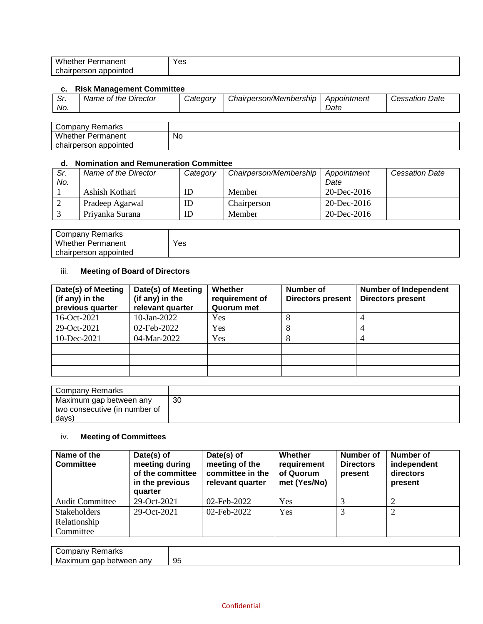| <b>A</b> <i>A II</i><br>w<br>.<br>.<br>ادعا<br>ווטו<br>$\sim$ $\sim$ $\sim$ $\sim$ $\sim$ $\sim$ | Yes |
|--------------------------------------------------------------------------------------------------|-----|
| $\sim$<br>uter.<br>nır<br>sor<br>nı<br>. .<br>.<br>ື                                             |     |

## **c. Risk Management Committee**

| . <i>ا</i> ت | Name of the Director | Categorv | Chairperson/Membership | Appointment | <i><b>Cessation Date</b></i> |
|--------------|----------------------|----------|------------------------|-------------|------------------------------|
| No.          |                      |          |                        | Date        |                              |

| <sup>.</sup> Remarks<br>Company |    |
|---------------------------------|----|
| <b>Whether Permanent</b>        | No |
| chairperson appointed           |    |

#### **d. Nomination and Remuneration Committee**

| Sr. | Name of the Director | Category | Chairperson/Membership | Appointment       | <b>Cessation Date</b> |
|-----|----------------------|----------|------------------------|-------------------|-----------------------|
| No. |                      |          |                        | Date              |                       |
|     | Ashish Kothari       | ID       | Member                 | $20 - Dec - 2016$ |                       |
|     | Pradeep Agarwal      | ID       | Chairperson            | $20$ -Dec-2016    |                       |
|     | Priyanka Surana      | ID       | Member                 | $20 - Dec - 2016$ |                       |

| Company Remarks          |     |
|--------------------------|-----|
| <b>Whether Permanent</b> | Yes |
| chairperson appointed    |     |

# iii. **Meeting of Board of Directors**

| Date(s) of Meeting<br>(if any) in the<br>previous quarter | Date(s) of Meeting<br>(if any) in the<br>relevant quarter | Whether<br>requirement of<br>Quorum met | Number of<br><b>Directors present</b> | <b>Number of Independent</b><br><b>Directors present</b> |
|-----------------------------------------------------------|-----------------------------------------------------------|-----------------------------------------|---------------------------------------|----------------------------------------------------------|
| 16-Oct-2021                                               | $10$ -Jan-2022                                            | Yes                                     |                                       |                                                          |
| 29-Oct-2021                                               | 02-Feb-2022                                               | Yes                                     |                                       |                                                          |
| $10$ -Dec-2021                                            | 04-Mar-2022                                               | Yes                                     |                                       |                                                          |
|                                                           |                                                           |                                         |                                       |                                                          |
|                                                           |                                                           |                                         |                                       |                                                          |
|                                                           |                                                           |                                         |                                       |                                                          |

| Company Remarks               |    |
|-------------------------------|----|
| Maximum gap between any       | 30 |
| two consecutive (in number of |    |
| days)                         |    |

# iv. **Meeting of Committees**

| Name of the<br><b>Committee</b> | Date(s) of<br>meeting during<br>of the committee<br>in the previous<br>quarter | Date(s) of<br>meeting of the<br>committee in the<br>relevant quarter | Whether<br>requirement<br>of Quorum<br>met (Yes/No) | Number of<br><b>Directors</b><br>present | <b>Number of</b><br>independent<br>directors<br>present |
|---------------------------------|--------------------------------------------------------------------------------|----------------------------------------------------------------------|-----------------------------------------------------|------------------------------------------|---------------------------------------------------------|
| <b>Audit Committee</b>          | 29-Oct-2021                                                                    | 02-Feb-2022                                                          | Yes                                                 |                                          |                                                         |
| <b>Stakeholders</b>             | 29-Oct-2021                                                                    | 02-Feb-2022                                                          | Yes                                                 |                                          | ာ                                                       |
| Relationship                    |                                                                                |                                                                      |                                                     |                                          |                                                         |
| Committee                       |                                                                                |                                                                      |                                                     |                                          |                                                         |

| ---<br>$\sim$<br>uvar<br>rial NS               |    |
|------------------------------------------------|----|
| aac<br>Ma.<br>anv<br>`axımum<br>between<br>. . | 95 |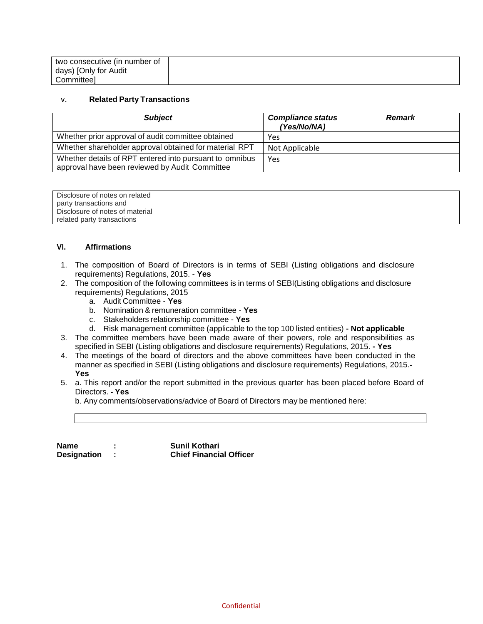| two consecutive (in number of |  |
|-------------------------------|--|
| days) [Only for Audit         |  |
| Committeel                    |  |

#### v. **Related Party Transactions**

| <b>Subject</b>                                                                                            | <b>Compliance status</b><br>(Yes/No/NA) | <b>Remark</b> |
|-----------------------------------------------------------------------------------------------------------|-----------------------------------------|---------------|
| Whether prior approval of audit committee obtained                                                        | Yes                                     |               |
| Whether shareholder approval obtained for material RPT                                                    | Not Applicable                          |               |
| Whether details of RPT entered into pursuant to omnibus<br>approval have been reviewed by Audit Committee | Yes                                     |               |

| Disclosure of notes on related  |  |
|---------------------------------|--|
| party transactions and          |  |
| Disclosure of notes of material |  |
| related party transactions      |  |

### **VI. Affirmations**

- 1. The composition of Board of Directors is in terms of SEBI (Listing obligations and disclosure requirements) Regulations, 2015. - **Yes**
- 2. The composition of the following committees is in terms of SEBI(Listing obligations and disclosure requirements) Regulations, 2015
	- a. Audit Committee **Yes**
	- b. Nomination & remuneration committee **Yes**
	- c. Stakeholders relationship committee **Yes**
	- d. Risk management committee (applicable to the top 100 listed entities) **- Not applicable**
- 3. The committee members have been made aware of their powers, role and responsibilities as specified in SEBI (Listing obligations and disclosure requirements) Regulations, 2015. **- Yes**
- 4. The meetings of the board of directors and the above committees have been conducted in the manner as specified in SEBI (Listing obligations and disclosure requirements) Regulations, 2015.**- Yes**
- 5. a. This report and/or the report submitted in the previous quarter has been placed before Board of Directors. **- Yes**

b. Any comments/observations/advice of Board of Directors may be mentioned here:

| Name               | <b>Sunil Kothari</b>           |
|--------------------|--------------------------------|
| <b>Designation</b> | <b>Chief Financial Officer</b> |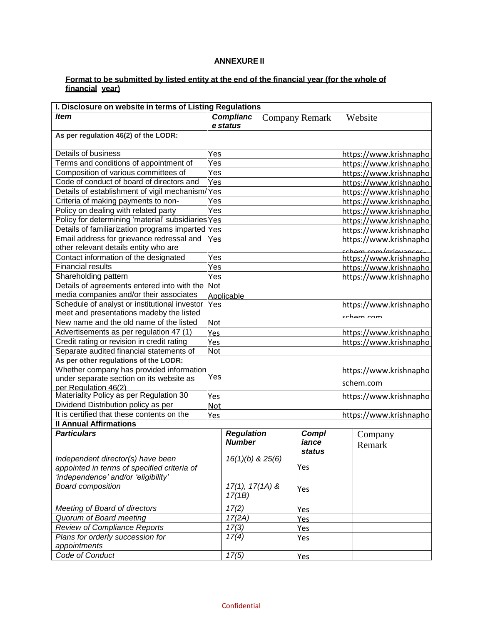### **ANNEXURE II**

#### **Format to be submitted by listed entity at the end of the financial year (for the whole of financial year)**

| I. Disclosure on website in terms of Listing Regulations |            |                   |  |                        |  |                        |  |
|----------------------------------------------------------|------------|-------------------|--|------------------------|--|------------------------|--|
| <b>Item</b>                                              |            | <b>Complianc</b>  |  | <b>Company Remark</b>  |  | Website                |  |
|                                                          |            | e status          |  |                        |  |                        |  |
| As per regulation 46(2) of the LODR:                     |            |                   |  |                        |  |                        |  |
| Details of business                                      | Yes        |                   |  |                        |  | https://www.krishnapho |  |
| Terms and conditions of appointment of                   | Yes        |                   |  |                        |  | https://www.krishnapho |  |
| Composition of various committees of                     | Yes        |                   |  |                        |  | https://www.krishnapho |  |
| Code of conduct of board of directors and                | Yes        |                   |  |                        |  | https://www.krishnapho |  |
| Details of establishment of vigil mechanism/Yes          |            |                   |  |                        |  | https://www.krishnapho |  |
| Criteria of making payments to non-                      | Yes        |                   |  |                        |  | https://www.krishnapho |  |
| Policy on dealing with related party                     | Yes        |                   |  |                        |  | https://www.krishnapho |  |
| Policy for determining 'material' subsidiaries Yes       |            |                   |  |                        |  | https://www.krishnapho |  |
| Details of familiarization programs imparted Yes         |            |                   |  |                        |  | https://www.krishnapho |  |
| Email address for grievance redressal and                | Yes        |                   |  |                        |  | https://www.krishnapho |  |
| other relevant details entity who are                    |            |                   |  |                        |  | ccham com/grievances   |  |
| Contact information of the designated                    | Yes        |                   |  |                        |  | https://www.krishnapho |  |
| <b>Financial results</b>                                 | Yes        |                   |  |                        |  | https://www.krishnapho |  |
| Shareholding pattern                                     | Yes        |                   |  |                        |  | https://www.krishnapho |  |
| Details of agreements entered into with the              | <b>Not</b> |                   |  |                        |  |                        |  |
| media companies and/or their associates                  |            | Applicable        |  |                        |  |                        |  |
| Schedule of analyst or institutional investor<br>Yes     |            |                   |  |                        |  | https://www.krishnapho |  |
| meet and presentations madeby the listed                 |            |                   |  |                        |  | <u>scham cam</u>       |  |
| New name and the old name of the listed                  | Not        |                   |  |                        |  |                        |  |
| Advertisements as per regulation 47 (1)                  | Yes        |                   |  |                        |  | https://www.krishnapho |  |
| Credit rating or revision in credit rating               | Yes        |                   |  |                        |  | https://www.krishnapho |  |
| Separate audited financial statements of                 | Not        |                   |  |                        |  |                        |  |
| As per other regulations of the LODR:                    |            |                   |  |                        |  |                        |  |
| Whether company has provided information                 |            |                   |  |                        |  | https://www.krishnapho |  |
| under separate section on its website as                 | Yes        |                   |  |                        |  | schem.com              |  |
| per Regulation 46(2)                                     |            |                   |  |                        |  |                        |  |
| Materiality Policy as per Regulation 30                  | Yes        |                   |  |                        |  | https://www.krishnapho |  |
| Dividend Distribution policy as per                      | <b>Not</b> |                   |  |                        |  |                        |  |
| It is certified that these contents on the               | Yes        |                   |  |                        |  | https://www.krishnapho |  |
| <b>II Annual Affirmations</b>                            |            |                   |  |                        |  |                        |  |
| <b>Particulars</b>                                       |            | <b>Regulation</b> |  | <b>Compl</b>           |  | Company                |  |
|                                                          |            | <b>Number</b>     |  | iance<br><b>status</b> |  | Remark                 |  |
| Independent director(s) have been                        |            | 16(1)(b) & 25(6)  |  |                        |  |                        |  |
| appointed in terms of specified criteria of              |            |                   |  | Yes                    |  |                        |  |
| 'independence' and/or 'eligibility'                      |            |                   |  |                        |  |                        |  |
| <b>Board composition</b>                                 |            | $17(1), 17(1A)$ & |  | Yes                    |  |                        |  |
|                                                          |            | 17(1B)            |  |                        |  |                        |  |
| Meeting of Board of directors                            |            | 17(2)             |  | Yes                    |  |                        |  |
| Quorum of Board meeting                                  |            | 17(2A)            |  | Yes                    |  |                        |  |
| <b>Review of Compliance Reports</b>                      |            | 17(3)             |  | Yes                    |  |                        |  |
| Plans for orderly succession for                         |            | 17(4)             |  | Yes                    |  |                        |  |
| appointments                                             |            |                   |  |                        |  |                        |  |
| Code of Conduct                                          |            | 17(5)             |  | Yes                    |  |                        |  |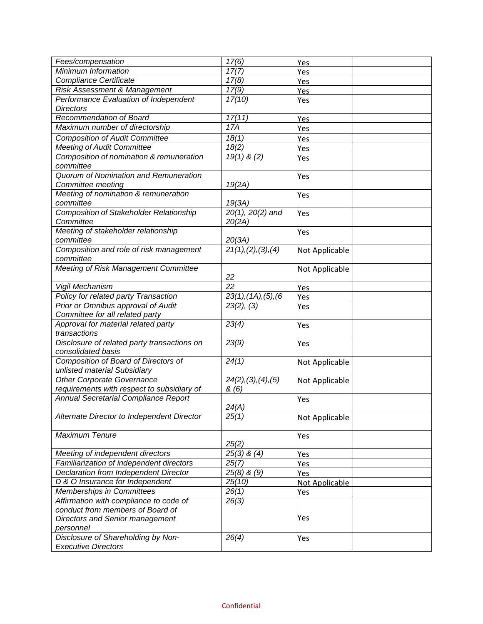| Fees/compensation                              | $\overline{17(6)}$    | Yes                   |  |
|------------------------------------------------|-----------------------|-----------------------|--|
| Minimum Information                            | 17(7)                 | Yes                   |  |
| Compliance Certificate                         | 17(8)                 | Yes                   |  |
| Risk Assessment & Management                   | 17(9)                 | Yes                   |  |
| Performance Evaluation of Independent          | 17(10)                | Yes                   |  |
| <b>Directors</b>                               |                       |                       |  |
| Recommendation of Board                        | 17(11)                | Yes                   |  |
| Maximum number of directorship                 | 17A                   | Yes                   |  |
| <b>Composition of Audit Committee</b>          | 18(1)                 | Yes                   |  |
| <b>Meeting of Audit Committee</b>              | 18(2)                 | Yes                   |  |
| Composition of nomination & remuneration       | $19(1)$ & (2)         | Yes                   |  |
| committee                                      |                       |                       |  |
| Quorum of Nomination and Remuneration          |                       | Yes                   |  |
| Committee meeting                              | 19(2A)                |                       |  |
| Meeting of nomination & remuneration           |                       | Yes                   |  |
| committee                                      | 19(3A)                |                       |  |
| <b>Composition of Stakeholder Relationship</b> | $20(1)$ , $20(2)$ and | Yes                   |  |
| Committee                                      | 20(2A)                |                       |  |
| Meeting of stakeholder relationship            |                       | Yes                   |  |
| committee                                      | 20(3A)                |                       |  |
| Composition and role of risk management        | 21(1), (2), (3), (4)  | Not Applicable        |  |
| committee                                      |                       |                       |  |
| Meeting of Risk Management Committee           |                       | Not Applicable        |  |
|                                                | 22                    |                       |  |
| Vigil Mechanism                                | $\overline{22}$       | Yes                   |  |
| Policy for related party Transaction           | 23(1), (1A), (5), (6) | Yes                   |  |
| Prior or Omnibus approval of Audit             | 23(2), (3)            | Yes                   |  |
| Committee for all related party                |                       |                       |  |
| Approval for material related party            | 23(4)                 | Yes                   |  |
| transactions                                   |                       |                       |  |
| Disclosure of related party transactions on    | 23(9)                 | Yes                   |  |
| consolidated basis                             |                       |                       |  |
| Composition of Board of Directors of           | 24(1)                 | Not Applicable        |  |
| unlisted material Subsidiary                   |                       |                       |  |
| <b>Other Corporate Governance</b>              | 24(2), (3), (4), (5)  | Not Applicable        |  |
| requirements with respect to subsidiary of     | &(6)                  |                       |  |
| Annual Secretarial Compliance Report           |                       | Yes                   |  |
|                                                | 24(A)                 |                       |  |
| Alternate Director to Independent Director     | 25(1)                 | Not Applicable        |  |
| <b>Maximum Tenure</b>                          |                       |                       |  |
|                                                | 25(2)                 | Yes                   |  |
| Meeting of independent directors               | $25(3)$ & $(4)$       | Yes                   |  |
| Familiarization of independent directors       | 25(7)                 | Yes                   |  |
| Declaration from Independent Director          | $25(8)$ & $(9)$       |                       |  |
| D & O Insurance for Independent                | 25(10)                | Yes<br>Not Applicable |  |
| Memberships in Committees                      | 26(1)                 | Yes                   |  |
| Affirmation with compliance to code of         | 26(3)                 |                       |  |
| conduct from members of Board of               |                       |                       |  |
| <b>Directors and Senior management</b>         |                       | Yes                   |  |
| personnel                                      |                       |                       |  |
| Disclosure of Shareholding by Non-             | 26(4)                 | Yes                   |  |
| <b>Executive Directors</b>                     |                       |                       |  |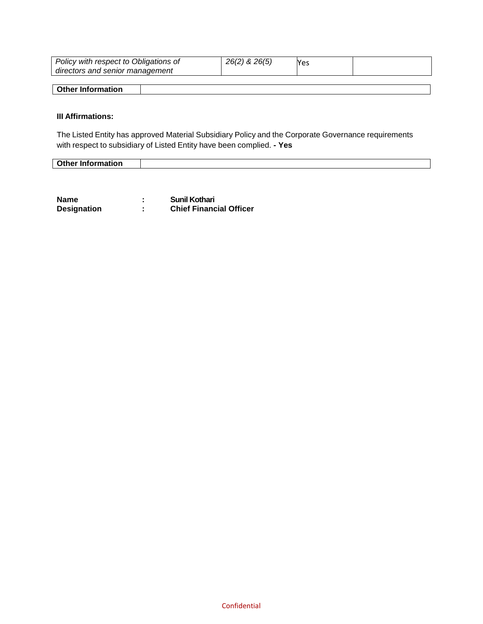| Policy with respect to Obligations of<br>directors and senior management | 26(2) & 26(5) | <b>Yes</b> |  |
|--------------------------------------------------------------------------|---------------|------------|--|
|                                                                          |               |            |  |
| Other Information                                                        |               |            |  |

# **III Affirmations:**

The Listed Entity has approved Material Subsidiary Policy and the Corporate Governance requirements with respect to subsidiary of Listed Entity have been complied. **- Yes**

| <b>Other Information</b> |  |
|--------------------------|--|

| Name               | <b>Sunil Kothari</b>           |
|--------------------|--------------------------------|
| <b>Designation</b> | <b>Chief Financial Officer</b> |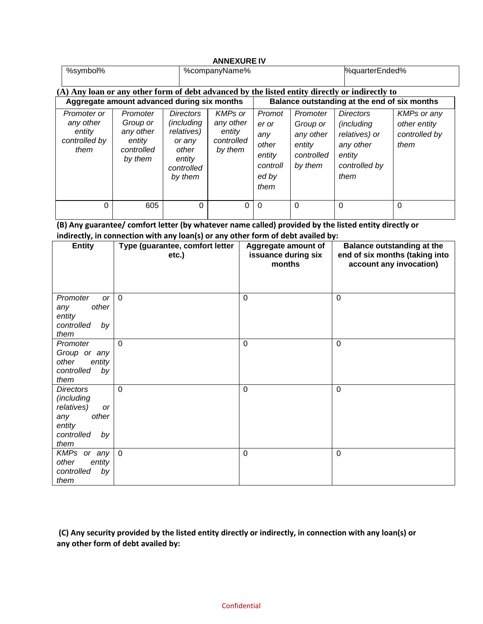| <b>ANNEXURE IV</b>                                                                             |                                                                      |                                                                                                           |                                                                |                                                                        |                                                                      |                                                                                                        |                                                             |
|------------------------------------------------------------------------------------------------|----------------------------------------------------------------------|-----------------------------------------------------------------------------------------------------------|----------------------------------------------------------------|------------------------------------------------------------------------|----------------------------------------------------------------------|--------------------------------------------------------------------------------------------------------|-------------------------------------------------------------|
| %symbol%                                                                                       |                                                                      |                                                                                                           | %companyName%                                                  |                                                                        |                                                                      | %quarterEnded%                                                                                         |                                                             |
| (A) Any loan or any other form of debt advanced by the listed entity directly or indirectly to |                                                                      |                                                                                                           |                                                                |                                                                        |                                                                      |                                                                                                        |                                                             |
| Aggregate amount advanced during six months                                                    |                                                                      |                                                                                                           | Balance outstanding at the end of six months                   |                                                                        |                                                                      |                                                                                                        |                                                             |
| Promoter or<br>any other<br>entity<br>controlled by<br>them                                    | Promoter<br>Group or<br>any other<br>entity<br>controlled<br>by them | <b>Directors</b><br><i>(including</i><br>relatives)<br>or any<br>other<br>entity<br>controlled<br>by them | <b>KMPs or</b><br>any other<br>entity<br>controlled<br>by them | Promot<br>er or<br>any<br>other<br>entity<br>controll<br>ed by<br>them | Promoter<br>Group or<br>any other<br>entity<br>controlled<br>by them | <b>Directors</b><br><i>(including</i><br>relatives) or<br>any other<br>entity<br>controlled by<br>them | <b>KMPs or any</b><br>other entity<br>controlled by<br>them |
| 0                                                                                              | 605                                                                  | 0                                                                                                         | 0                                                              | $\Omega$                                                               | $\Omega$                                                             | $\Omega$                                                                                               | $\Omega$                                                    |

**(B) Any guarantee/ comfort letter (by whatever name called) provided by the listed entity directly or indirectly, in connection with any loan(s) or any other form of debt availed by:**

| <b>Entity</b>                                                                                            | Type (guarantee, comfort letter<br>etc.) | Aggregate amount of<br>issuance during six<br>months | <b>Balance outstanding at the</b><br>end of six months (taking into<br>account any invocation) |
|----------------------------------------------------------------------------------------------------------|------------------------------------------|------------------------------------------------------|------------------------------------------------------------------------------------------------|
| Promoter<br><b>or</b><br>other<br>any<br>entity<br>controlled<br>by<br>them                              | $\Omega$                                 | $\mathbf 0$                                          | $\mathbf 0$                                                                                    |
| Promoter<br>Group or any<br>other<br>entity<br>controlled<br>by<br>them                                  | $\Omega$                                 | $\mathbf 0$                                          | 0                                                                                              |
| <b>Directors</b><br>(including<br>relatives)<br>or<br>other<br>any<br>entity<br>controlled<br>by<br>them | $\mathbf 0$                              | $\mathbf 0$                                          | 0                                                                                              |
| KMPs or any<br>other<br>entity<br>controlled<br>by<br>them                                               | $\overline{0}$                           | $\mathbf 0$                                          | 0                                                                                              |

**(C) Any security provided by the listed entity directly or indirectly, in connection with any loan(s) or any other form of debt availed by:**